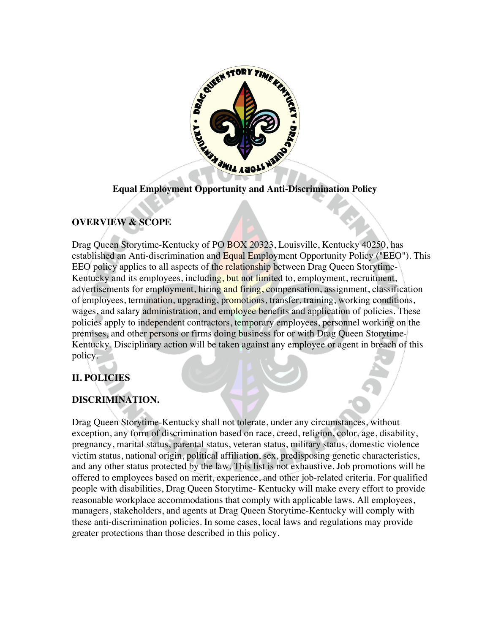

# **Equal Employment Opportunity and Anti-Discrimination Policy**

# **OVERVIEW & SCOPE**

Drag Queen Storytime-Kentucky of PO BOX 20323, Louisville, Kentucky 40250, has established an Anti-discrimination and Equal Employment Opportunity Policy ("EEO"). This EEO policy applies to all aspects of the relationship between Drag Queen Storytime-Kentucky and its employees, including, but not limited to, employment, recruitment, advertisements for employment, hiring and firing, compensation, assignment, classification of employees, termination, upgrading, promotions, transfer, training, working conditions, wages, and salary administration, and employee benefits and application of policies. These policies apply to independent contractors, temporary employees, personnel working on the premises, and other persons or firms doing business for or with Drag Queen Storytime-Kentucky. Disciplinary action will be taken against any employee or agent in breach of this policy.

## **II. POLICIES**

## **DISCRIMINATION.**

Drag Queen Storytime-Kentucky shall not tolerate, under any circumstances, without exception, any form of discrimination based on race, creed, religion, color, age, disability, pregnancy, marital status, parental status, veteran status, military status, domestic violence victim status, national origin, political affiliation, sex, predisposing genetic characteristics, and any other status protected by the law. This list is not exhaustive. Job promotions will be offered to employees based on merit, experience, and other job-related criteria. For qualified people with disabilities, Drag Queen Storytime- Kentucky will make every effort to provide reasonable workplace accommodations that comply with applicable laws. All employees, managers, stakeholders, and agents at Drag Queen Storytime-Kentucky will comply with these anti-discrimination policies. In some cases, local laws and regulations may provide greater protections than those described in this policy.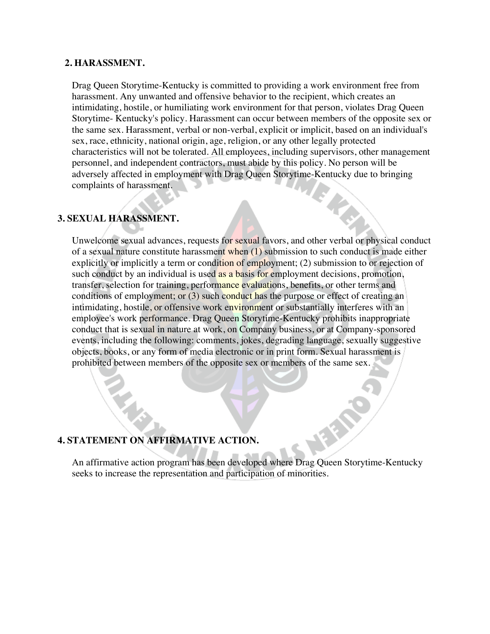#### **2. HARASSMENT.**

Drag Queen Storytime-Kentucky is committed to providing a work environment free from harassment. Any unwanted and offensive behavior to the recipient, which creates an intimidating, hostile, or humiliating work environment for that person, violates Drag Queen Storytime- Kentucky's policy. Harassment can occur between members of the opposite sex or the same sex. Harassment, verbal or non-verbal, explicit or implicit, based on an individual's sex, race, ethnicity, national origin, age, religion, or any other legally protected characteristics will not be tolerated. All employees, including supervisors, other management personnel, and independent contractors, must abide by this policy. No person will be adversely affected in employment with Drag Queen Storytime-Kentucky due to bringing complaints of harassment.

## **3. SEXUAL HARASSMENT.**

Unwelcome sexual advances, requests for sexual favors, and other verbal or physical conduct of a sexual nature constitute harassment when  $(1)$  submission to such conduct is made either explicitly or implicitly a term or condition of employment; (2) submission to or rejection of such conduct by an individual is used as a basis for employment decisions, promotion, transfer, selection for training, performance evaluations, benefits, or other terms and conditions of employment; or (3) such conduct has the purpose or effect of creating an intimidating, hostile, or offensive work environment or substantially interferes with an employee's work performance. Drag Queen Storytime-Kentucky prohibits inappropriate conduct that is sexual in nature at work, on Company business, or at Company-sponsored events, including the following: comments, jokes, degrading language, sexually suggestive objects, books, or any form of media electronic or in print form. Sexual harassment is prohibited between members of the opposite sex or members of the same sex.

### **4. STATEMENT ON AFFIRMATIVE ACTION.**

An affirmative action program has been developed where Drag Queen Storytime-Kentucky seeks to increase the representation and participation of minorities.